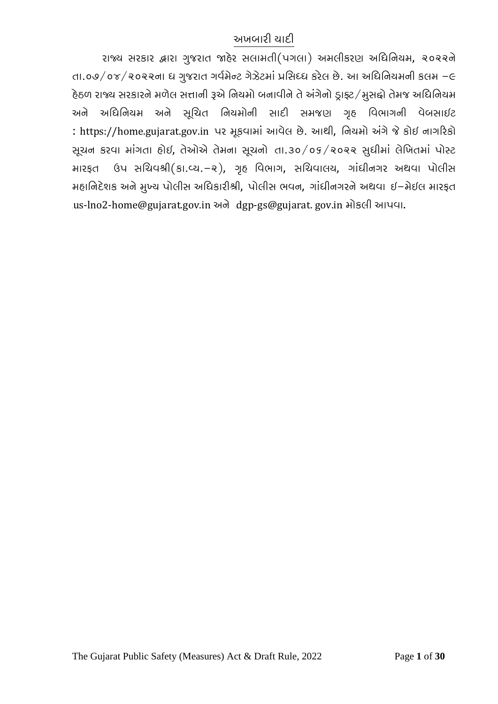### અખબારી યાદી

રાજ્ય સરકાર હ્રારા ગુજરાત જાહેર સલામતી(પગલા) અમલીકરણ અધિનિયમ, ૨૦૨૨ને તા.૦૭/૦૪/૨૦૨૨ના ધ ગુજરાત ગર્વમેન્ટ ગેઝેટમાં પ્રસિધ્ધ કરેલ છે. આ અધિનિયમની કલમ –૯ હેઠળ રાજ્ય સરકારને મળેલ સત્તાની રૂએ નિયમો બનાવીને તે અંગેનો ડ્રાફ્ટ/મુસદ્દો તેમજ અધિનિયમ અને અિધિનયમ અને સૂિચત િનયમોની સાદી સમજણ ગૃહ િવભાગની વેબસાઇટ : [https://home.gujarat.gov.in](https://home.gujarat.gov.in/) પર મૂકવામાં આવેલ છે. આથી, િનયમો અંગેજેકોઇ નાગ�રકો સૂચન કરવા માંગતા હોઇ, તેઓએ તેમના સૂચનો તા.૩૦/૦૬/૨૦૨૨ સુધીમાં લેિખતમાં પોસ્ટ મારફત ઉપ સિચવશ્રી(કા.વ્ય.-૨), ગૃહ િવભાગ, સિચવાલય, ગાંધીનગર અથવા પોલીસ મહાિનદેશક અનેમુખ્ય પોલીસ અિધકારીશ્રી, પોલીસ ભવન, ગાંધીનગરનેઅથવા ઇ-મેઇલ મારફત us-lno2-home@gujarat.gov.in અને dgp-gs@gujarat. gov.in મોકલી આપવા.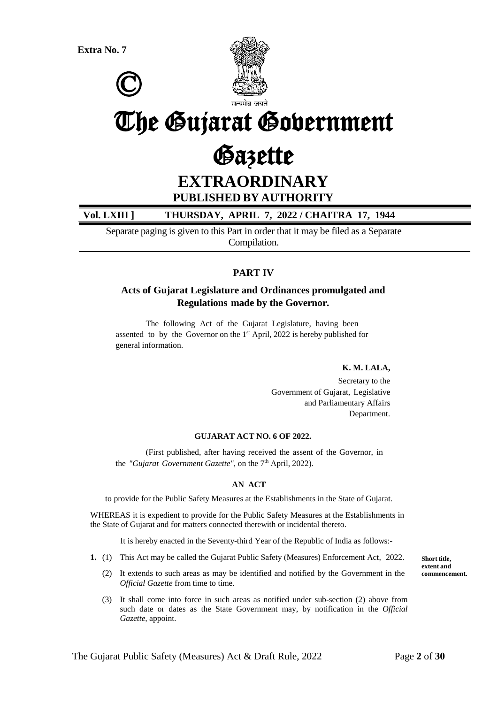



# The Gujarat Government

# Gazette

**EXTRAORDINARY**

### **PUBLISHED BY AUTHORITY**

### **Vol. LXIII ] THURSDAY, APRIL 7, 2022 / CHAITRA 17, 1944**

Separate paging is given to this Part in order that it may be filed as a Separate Compilation.

### **PART IV**

### **Acts of Gujarat Legislature and Ordinances promulgated and Regulations made by the Governor.**

The following Act of the Gujarat Legislature, having been assented to by the Governor on the  $1<sup>st</sup>$  April, 2022 is hereby published for general information.

#### **K. M. LALA,**

Secretary to the Government of Gujarat, Legislative and Parliamentary Affairs Department.

#### **GUJARAT ACT NO. 6 OF 2022.**

(First published, after having received the assent of the Governor, in the *"Gujarat Government Gazette"*, on the 7<sup>th</sup> April, 2022).

#### **AN ACT**

to provide for the Public Safety Measures at the Establishments in the State of Gujarat.

WHEREAS it is expedient to provide for the Public Safety Measures at the Establishments in the State of Gujarat and for matters connected therewith or incidental thereto.

It is hereby enacted in the Seventy-third Year of the Republic of India as follows:-

- **1.** (1) This Act may be called the Gujarat Public Safety (Measures) Enforcement Act, 2022.
	- (2) It extends to such areas as may be identified and notified by the Government in the *Official Gazette* from time to time.
	- (3) It shall come into force in such areas as notified under sub-section (2) above from such date or dates as the State Government may, by notification in the *Official Gazette,* appoint.

**Short title, extent and commencement.**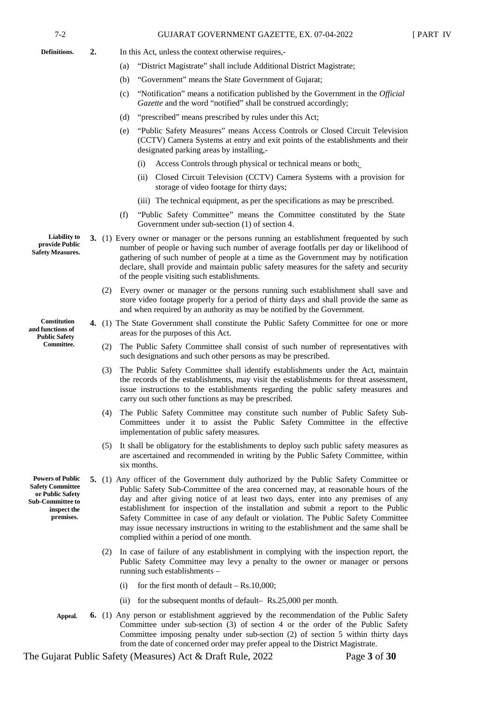- **Definitions.**
- **2.** In this Act, unless the context otherwise requires,-
	- (a) "District Magistrate" shall include Additional District Magistrate;
	- (b) "Government" means the State Government of Gujarat;
	- (c) "Notification" means a notification published by the Government in the *Official Gazette* and the word "notified" shall be construed accordingly;
	- (d) "prescribed" means prescribed by rules under this Act;
	- (e) "Public Safety Measures" means Access Controls or Closed Circuit Television (CCTV) Camera Systems at entry and exit points of the establishments and their designated parking areas by installing,-
		- (i) Access Controls through physical or technical means or both;
		- (ii) Closed Circuit Television (CCTV) Camera Systems with a provision for storage of video footage for thirty days;
		- (iii) The technical equipment, as per the specifications as may be prescribed.
	- (f) "Public Safety Committee" means the Committee constituted by the State Government under sub-section (1) of section 4.
- **3.** (1) Every owner or manager or the persons running an establishment frequented by such number of people or having such number of average footfalls per day or likelihood of gathering of such number of people at a time as the Government may by notification declare, shall provide and maintain public safety measures for the safety and security of the people visiting such establishments.
	- (2) Every owner or manager or the persons running such establishment shall save and store video footage properly for a period of thirty days and shall provide the same as and when required by an authority as may be notified by the Government.
	- **4.** (1) The State Government shall constitute the Public Safety Committee for one or more areas for the purposes of this Act.
		- (2) The Public Safety Committee shall consist of such number of representatives with such designations and such other persons as may be prescribed.
		- (3) The Public Safety Committee shall identify establishments under the Act, maintain the records of the establishments, may visit the establishments for threat assessment, issue instructions to the establishments regarding the public safety measures and carry out such other functions as may be prescribed.
		- (4) The Public Safety Committee may constitute such number of Public Safety Sub-Committees under it to assist the Public Safety Committee in the effective implementation of public safety measures.
		- (5) It shall be obligatory for the establishments to deploy such public safety measures as are ascertained and recommended in writing by the Public Safety Committee, within six months.
- **5.** (1) Any officer of the Government duly authorized by the Public Safety Committee or Public Safety Sub-Committee of the area concerned may, at reasonable hours of the day and after giving notice of at least two days, enter into any premises of any establishment for inspection of the installation and submit a report to the Public Safety Committee in case of any default or violation. The Public Safety Committee may issue necessary instructions in writing to the establishment and the same shall be complied within a period of one month.
	- (2) In case of failure of any establishment in complying with the inspection report, the Public Safety Committee may levy a penalty to the owner or manager or persons running such establishments –
		- (i) for the first month of default  $-$  Rs.10,000;
		- (ii) for the subsequent months of default– Rs.25,000 per month.
- **Appeal. 6.** (1) Any person or establishment aggrieved by the recommendation of the Public Safety Committee under sub-section (3) of section 4 or the order of the Public Safety Committee imposing penalty under sub-section (2) of section 5 within thirty days from the date of concerned order may prefer appeal to the District Magistrate.

The Gujarat Public Safety (Measures) Act & Draft Rule, 2022 Page 3 of 30

**Liability to provide Public Safety Measures.**

**Constitution and functions of Public Safety Committee.**

**Powers of Public Safety Committee or Public Safety Sub-Committee to inspect the premises.**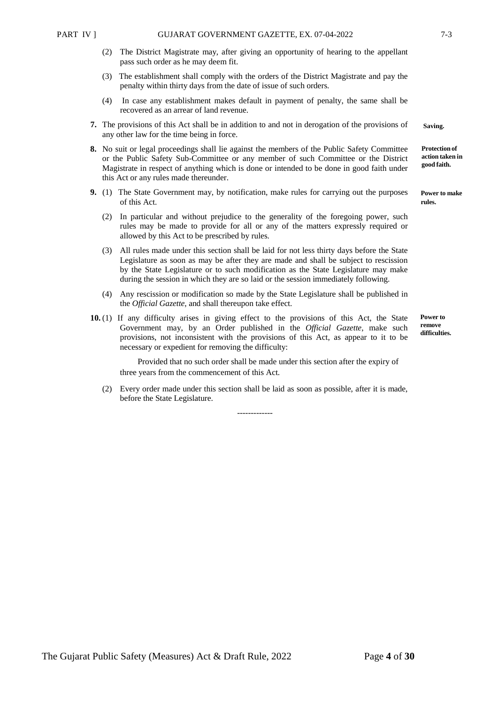**Saving.**

**Protection of action taken in good faith.**

**Power to make rules.**

**Power to remove difficulties.**

- (2) The District Magistrate may, after giving an opportunity of hearing to the appellant pass such order as he may deem fit.
- (3) The establishment shall comply with the orders of the District Magistrate and pay the penalty within thirty days from the date of issue of such orders.
- (4) In case any establishment makes default in payment of penalty, the same shall be recovered as an arrear of land revenue.
- **7.** The provisions of this Act shall be in addition to and not in derogation of the provisions of any other law for the time being in force.
- **8.** No suit or legal proceedings shall lie against the members of the Public Safety Committee or the Public Safety Sub-Committee or any member of such Committee or the District Magistrate in respect of anything which is done or intended to be done in good faith under this Act or any rules made thereunder.
- **9.** (1) The State Government may, by notification, make rules for carrying out the purposes of this Act.
	- (2) In particular and without prejudice to the generality of the foregoing power, such rules may be made to provide for all or any of the matters expressly required or allowed by this Act to be prescribed by rules.
	- (3) All rules made under this section shall be laid for not less thirty days before the State Legislature as soon as may be after they are made and shall be subject to rescission by the State Legislature or to such modification as the State Legislature may make during the session in which they are so laid or the session immediately following.
	- (4) Any rescission or modification so made by the State Legislature shall be published in the *Official Gazette*, and shall thereupon take effect.
- **10.** (1) If any difficulty arises in giving effect to the provisions of this Act, the State Government may, by an Order published in the *Official Gazette*, make such provisions, not inconsistent with the provisions of this Act, as appear to it to be necessary or expedient for removing the difficulty:

Provided that no such order shall be made under this section after the expiry of three years from the commencement of this Act.

(2) Every order made under this section shall be laid as soon as possible, after it is made, before the State Legislature.

-------------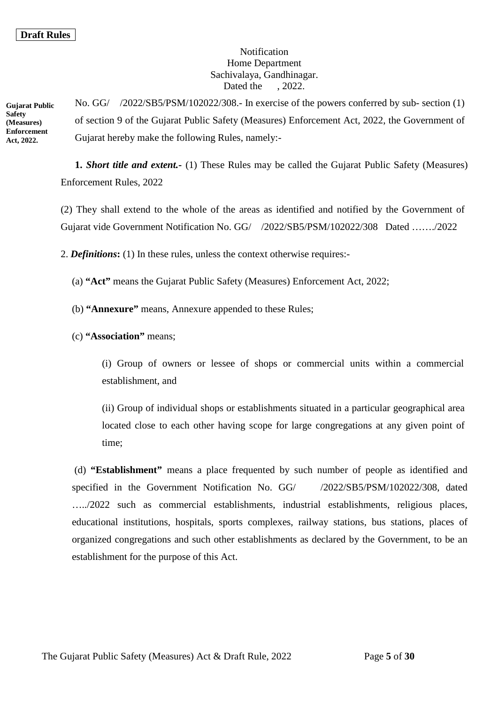### *Notification* Home Department Sachivalaya, Gandhinagar. Dated the , 2022.

**Gujarat Public Safety (Measures) Enforcement Act, 2022.**

No. GG/ /2022/SB5/PSM/102022/308.- In exercise of the powers conferred by sub- section (1) of section 9 of the Gujarat Public Safety (Measures) Enforcement Act, 2022, the Government of Gujarat hereby make the following Rules, namely:-

**1.** *Short title and extent.-* (1) These Rules may be called the Gujarat Public Safety (Measures) Enforcement Rules, 2022

(2) They shall extend to the whole of the areas as identified and notified by the Government of Gujarat vide Government Notification No. GG/ /2022/SB5/PSM/102022/308 Dated ……./2022

2. *Definitions***:** (1) In these rules, unless the context otherwise requires:-

(a) **"Act"** means the Gujarat Public Safety (Measures) Enforcement Act, 2022;

(b) **"Annexure"** means, Annexure appended to these Rules;

### (c) **"Association"** means;

(i) Group of owners or lessee of shops or commercial units within a commercial establishment, and

(ii) Group of individual shops or establishments situated in a particular geographical area located close to each other having scope for large congregations at any given point of time;

(d) **"Establishment"** means a place frequented by such number of people as identified and specified in the Government Notification No. GG/  $/2022/SB5/PSM/102022/308$ , dated …../2022 such as commercial establishments, industrial establishments, religious places, educational institutions, hospitals, sports complexes, railway stations, bus stations, places of organized congregations and such other establishments as declared by the Government, to be an establishment for the purpose of this Act.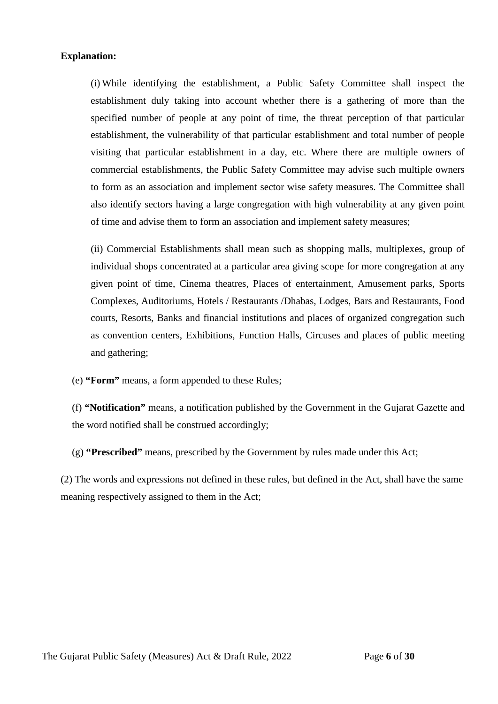#### **Explanation:**

(i) While identifying the establishment, a Public Safety Committee shall inspect the establishment duly taking into account whether there is a gathering of more than the specified number of people at any point of time, the threat perception of that particular establishment, the vulnerability of that particular establishment and total number of people visiting that particular establishment in a day, etc. Where there are multiple owners of commercial establishments, the Public Safety Committee may advise such multiple owners to form as an association and implement sector wise safety measures. The Committee shall also identify sectors having a large congregation with high vulnerability at any given point of time and advise them to form an association and implement safety measures;

(ii) Commercial Establishments shall mean such as shopping malls, multiplexes, group of individual shops concentrated at a particular area giving scope for more congregation at any given point of time, Cinema theatres, Places of entertainment, Amusement parks, Sports Complexes, Auditoriums, Hotels / Restaurants /Dhabas, Lodges, Bars and Restaurants, Food courts, Resorts, Banks and financial institutions and places of organized congregation such as convention centers, Exhibitions, Function Halls, Circuses and places of public meeting and gathering;

(e) **"Form"** means, a form appended to these Rules;

(f) **"Notification"** means, a notification published by the Government in the Gujarat Gazette and the word notified shall be construed accordingly;

(g) **"Prescribed"** means, prescribed by the Government by rules made under this Act;

(2) The words and expressions not defined in these rules, but defined in the Act, shall have the same meaning respectively assigned to them in the Act;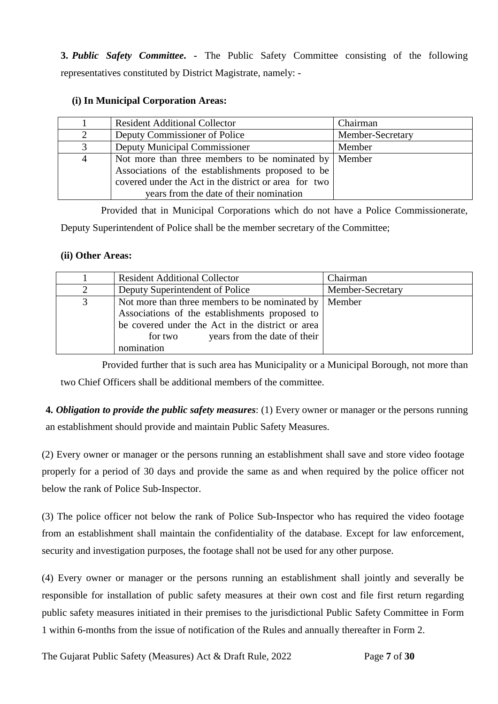**3.** *Public Safety Committee***. -** The Public Safety Committee consisting of the following representatives constituted by District Magistrate, namely: -

### **(i) In Municipal Corporation Areas:**

|                | <b>Resident Additional Collector</b>                                                                                                                                                                            | Chairman         |
|----------------|-----------------------------------------------------------------------------------------------------------------------------------------------------------------------------------------------------------------|------------------|
| 2              | Deputy Commissioner of Police                                                                                                                                                                                   | Member-Secretary |
| 3              | Deputy Municipal Commissioner                                                                                                                                                                                   | Member           |
| $\overline{4}$ | Not more than three members to be nominated by $\vert$<br>Associations of the establishments proposed to be<br>covered under the Act in the district or area for two<br>years from the date of their nomination | Member           |

Provided that in Municipal Corporations which do not have a Police Commissionerate,

Deputy Superintendent of Police shall be the member secretary of the Committee;

### **(ii) Other Areas:**

|   | <b>Resident Additional Collector</b>                                                                                                                                                                            | Chairman         |
|---|-----------------------------------------------------------------------------------------------------------------------------------------------------------------------------------------------------------------|------------------|
| 2 | Deputy Superintendent of Police                                                                                                                                                                                 | Member-Secretary |
| 3 | Not more than three members to be nominated by  <br>Associations of the establishments proposed to<br>be covered under the Act in the district or area<br>years from the date of their<br>for two<br>nomination | Member           |

Provided further that is such area has Municipality or a Municipal Borough, not more than two Chief Officers shall be additional members of the committee.

**4.** *Obligation to provide the public safety measures*: (1) Every owner or manager or the persons running an establishment should provide and maintain Public Safety Measures.

(2) Every owner or manager or the persons running an establishment shall save and store video footage properly for a period of 30 days and provide the same as and when required by the police officer not below the rank of Police Sub-Inspector.

(3) The police officer not below the rank of Police Sub-Inspector who has required the video footage from an establishment shall maintain the confidentiality of the database. Except for law enforcement, security and investigation purposes, the footage shall not be used for any other purpose.

(4) Every owner or manager or the persons running an establishment shall jointly and severally be responsible for installation of public safety measures at their own cost and file first return regarding public safety measures initiated in their premises to the jurisdictional Public Safety Committee in Form 1 within 6-months from the issue of notification of the Rules and annually thereafter in Form 2.

The Gujarat Public Safety (Measures) Act & Draft Rule, 2022 Page 7 of 30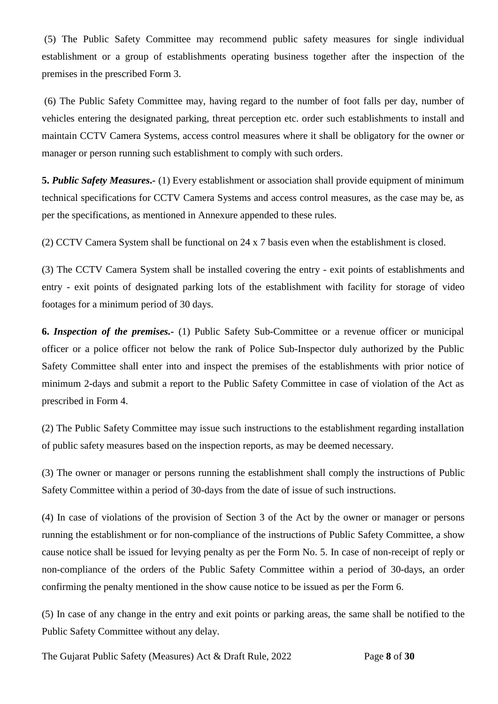(5) The Public Safety Committee may recommend public safety measures for single individual establishment or a group of establishments operating business together after the inspection of the premises in the prescribed Form 3.

(6) The Public Safety Committee may, having regard to the number of foot falls per day, number of vehicles entering the designated parking, threat perception etc. order such establishments to install and maintain CCTV Camera Systems, access control measures where it shall be obligatory for the owner or manager or person running such establishment to comply with such orders.

**5.** *Public Safety Measures***.-** (1) Every establishment or association shall provide equipment of minimum technical specifications for CCTV Camera Systems and access control measures, as the case may be, as per the specifications, as mentioned in Annexure appended to these rules.

(2) CCTV Camera System shall be functional on 24 x 7 basis even when the establishment is closed.

(3) The CCTV Camera System shall be installed covering the entry - exit points of establishments and entry - exit points of designated parking lots of the establishment with facility for storage of video footages for a minimum period of 30 days.

**6.** *Inspection of the premises.-* (1) Public Safety Sub-Committee or a revenue officer or municipal officer or a police officer not below the rank of Police Sub-Inspector duly authorized by the Public Safety Committee shall enter into and inspect the premises of the establishments with prior notice of minimum 2-days and submit a report to the Public Safety Committee in case of violation of the Act as prescribed in Form 4.

(2) The Public Safety Committee may issue such instructions to the establishment regarding installation of public safety measures based on the inspection reports, as may be deemed necessary.

(3) The owner or manager or persons running the establishment shall comply the instructions of Public Safety Committee within a period of 30-days from the date of issue of such instructions.

(4) In case of violations of the provision of Section 3 of the Act by the owner or manager or persons running the establishment or for non-compliance of the instructions of Public Safety Committee, a show cause notice shall be issued for levying penalty as per the Form No. 5. In case of non-receipt of reply or non-compliance of the orders of the Public Safety Committee within a period of 30-days, an order confirming the penalty mentioned in the show cause notice to be issued as per the Form 6.

(5) In case of any change in the entry and exit points or parking areas, the same shall be notified to the Public Safety Committee without any delay.

The Gujarat Public Safety (Measures) Act & Draft Rule, 2022 Page **8** of **30**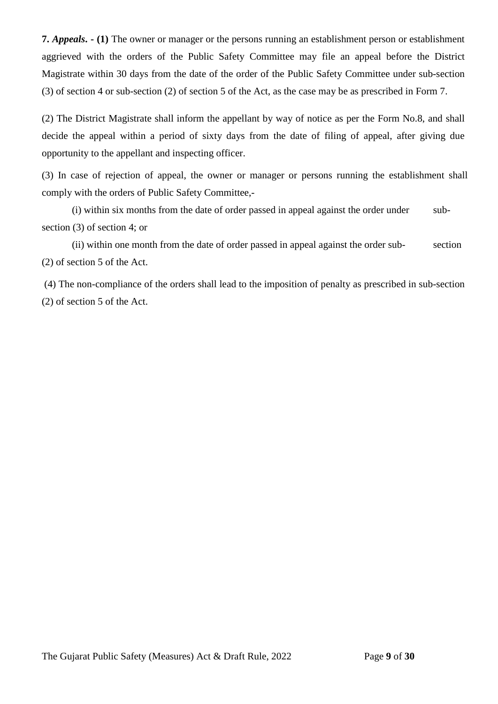**7.** *Appeals***. - (1)** The owner or manager or the persons running an establishment person or establishment aggrieved with the orders of the Public Safety Committee may file an appeal before the District Magistrate within 30 days from the date of the order of the Public Safety Committee under sub-section (3) of section 4 or sub-section (2) of section 5 of the Act, as the case may be as prescribed in Form 7.

(2) The District Magistrate shall inform the appellant by way of notice as per the Form No.8, and shall decide the appeal within a period of sixty days from the date of filing of appeal, after giving due opportunity to the appellant and inspecting officer.

(3) In case of rejection of appeal, the owner or manager or persons running the establishment shall comply with the orders of Public Safety Committee,-

(i) within six months from the date of order passed in appeal against the order under subsection (3) of section 4; or

(ii) within one month from the date of order passed in appeal against the order sub- section (2) of section 5 of the Act.

(4) The non-compliance of the orders shall lead to the imposition of penalty as prescribed in sub-section (2) of section 5 of the Act.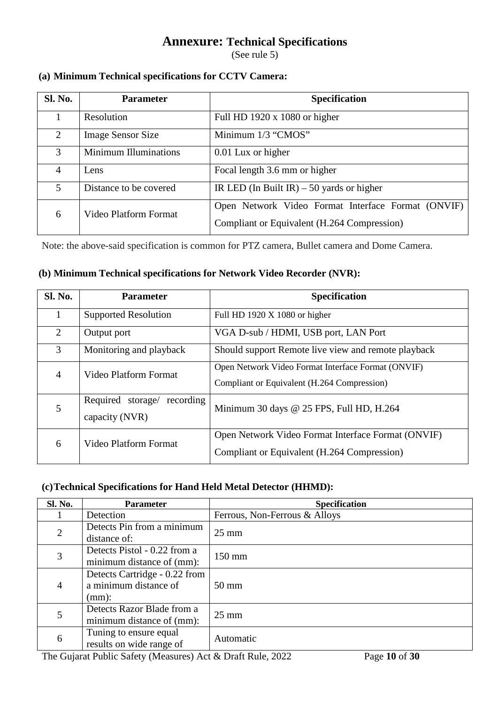### **Annexure: Technical Specifications**

(See rule 5)

### **(a) Minimum Technical specifications for CCTV Camera:**

| <b>Sl. No.</b> | <b>Parameter</b>             | <b>Specification</b>                               |
|----------------|------------------------------|----------------------------------------------------|
|                | Resolution                   | Full HD 1920 $x$ 1080 or higher                    |
| 2              | <b>Image Sensor Size</b>     | Minimum 1/3 "CMOS"                                 |
| 3              | <b>Minimum Illuminations</b> | 0.01 Lux or higher                                 |
| 4              | Lens                         | Focal length 3.6 mm or higher                      |
| 5              | Distance to be covered       | IR LED (In Built IR) $-50$ yards or higher         |
| 6              | Video Platform Format        | Open Network Video Format Interface Format (ONVIF) |
|                |                              | Compliant or Equivalent (H.264 Compression)        |

Note: the above-said specification is common for PTZ camera, Bullet camera and Dome Camera.

### **(b) Minimum Technical specifications for Network Video Recorder (NVR):**

| <b>Sl. No.</b> | <b>Parameter</b>                                 | <b>Specification</b>                                                                              |
|----------------|--------------------------------------------------|---------------------------------------------------------------------------------------------------|
|                | <b>Supported Resolution</b>                      | Full HD 1920 X 1080 or higher                                                                     |
| 2              | Output port                                      | VGA D-sub / HDMI, USB port, LAN Port                                                              |
| 3              | Monitoring and playback                          | Should support Remote live view and remote playback                                               |
| 4              | Video Platform Format                            | Open Network Video Format Interface Format (ONVIF)<br>Compliant or Equivalent (H.264 Compression) |
| 5              | Required storage/<br>recording<br>capacity (NVR) | Minimum 30 days @ 25 FPS, Full HD, H.264                                                          |
| 6              | Video Platform Format                            | Open Network Video Format Interface Format (ONVIF)<br>Compliant or Equivalent (H.264 Compression) |

### **(c)Technical Specifications for Hand Held Metal Detector (HHMD):**

| <b>Sl. No.</b> | <b>Parameter</b>              | <b>Specification</b>          |  |
|----------------|-------------------------------|-------------------------------|--|
|                | Detection                     | Ferrous, Non-Ferrous & Alloys |  |
| $\overline{2}$ | Detects Pin from a minimum    | $25 \text{ mm}$               |  |
|                | distance of:                  |                               |  |
| 3              | Detects Pistol - 0.22 from a  | $150 \text{ mm}$              |  |
|                | minimum distance of (mm):     |                               |  |
|                | Detects Cartridge - 0.22 from |                               |  |
| 4              | a minimum distance of         | $50 \text{ mm}$               |  |
|                | $(mm)$ :                      |                               |  |
|                | Detects Razor Blade from a    | $25 \text{ mm}$               |  |
|                | minimum distance of (mm):     |                               |  |
| 6              | Tuning to ensure equal        | Automatic                     |  |
|                | results on wide range of      |                               |  |

The Gujarat Public Safety (Measures) Act & Draft Rule, 2022 Page **10** of **30**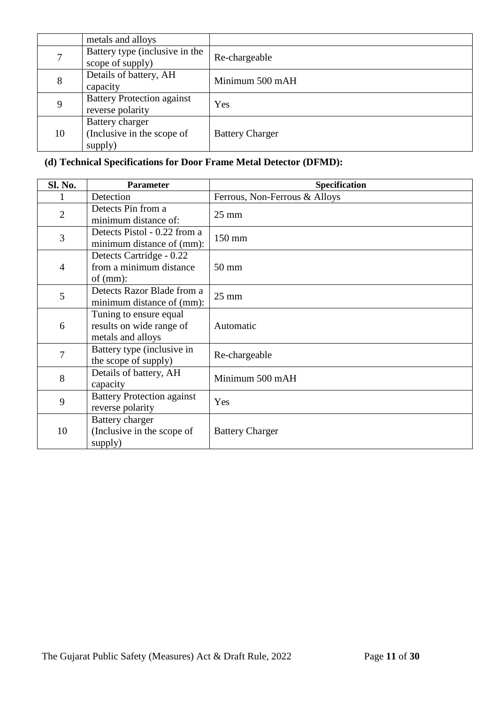|    | metals and alloys                                        |                        |
|----|----------------------------------------------------------|------------------------|
|    | Battery type (inclusive in the<br>scope of supply)       | Re-chargeable          |
| 8  | Details of battery, AH<br>capacity                       | Minimum 500 mAH        |
| 9  | <b>Battery Protection against</b><br>reverse polarity    | Yes                    |
| 10 | Battery charger<br>(Inclusive in the scope of<br>supply) | <b>Battery Charger</b> |

### **(d) Technical Specifications for Door Frame Metal Detector (DFMD):**

| Sl. No.        | <b>Parameter</b>                                                        | <b>Specification</b>          |
|----------------|-------------------------------------------------------------------------|-------------------------------|
|                | Detection                                                               | Ferrous, Non-Ferrous & Alloys |
| $\overline{2}$ | Detects Pin from a<br>minimum distance of:                              | $25 \text{ mm}$               |
| 3              | Detects Pistol - 0.22 from a<br>minimum distance of (mm):               | 150 mm                        |
| $\overline{4}$ | Detects Cartridge - 0.22<br>from a minimum distance<br>of $(mm)$ :      | $50 \text{ mm}$               |
| 5              | Detects Razor Blade from a<br>minimum distance of (mm):                 | $25 \text{ mm}$               |
| 6              | Tuning to ensure equal<br>results on wide range of<br>metals and alloys | Automatic                     |
| 7              | Battery type (inclusive in<br>the scope of supply)                      | Re-chargeable                 |
| 8              | Details of battery, AH<br>capacity                                      | Minimum 500 mAH               |
| 9              | <b>Battery Protection against</b><br>reverse polarity                   | Yes                           |
| 10             | Battery charger<br>(Inclusive in the scope of<br>supply)                | <b>Battery Charger</b>        |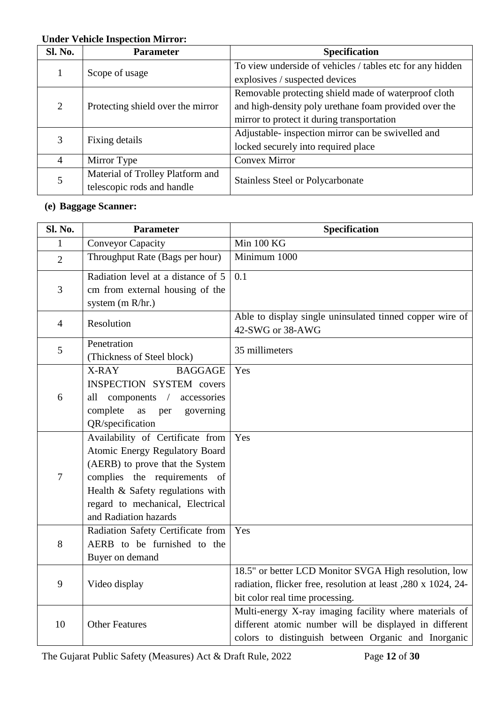### **Under Vehicle Inspection Mirror:**

| <b>Sl. No.</b>              | <b>Parameter</b>                  | <b>Specification</b>                                      |
|-----------------------------|-----------------------------------|-----------------------------------------------------------|
|                             | Scope of usage                    | To view underside of vehicles / tables etc for any hidden |
|                             |                                   | explosives / suspected devices                            |
|                             |                                   | Removable protecting shield made of waterproof cloth      |
| $\mathcal{D}_{\mathcal{L}}$ | Protecting shield over the mirror | and high-density poly urethane foam provided over the     |
|                             |                                   | mirror to protect it during transportation                |
|                             | Fixing details                    | Adjustable- inspection mirror can be swivelled and        |
|                             |                                   | locked securely into required place                       |
| 4                           | Mirror Type                       | <b>Convex Mirror</b>                                      |
|                             | Material of Trolley Platform and  | <b>Stainless Steel or Polycarbonate</b>                   |
|                             | telescopic rods and handle        |                                                           |

### **(e) Baggage Scanner:**

| Sl. No.        | <b>Parameter</b>                                                                                                                                                                                                                              | Specification                                                                                                                                                           |
|----------------|-----------------------------------------------------------------------------------------------------------------------------------------------------------------------------------------------------------------------------------------------|-------------------------------------------------------------------------------------------------------------------------------------------------------------------------|
| 1              | <b>Conveyor Capacity</b>                                                                                                                                                                                                                      | Min 100 KG                                                                                                                                                              |
| $\overline{2}$ | Throughput Rate (Bags per hour)                                                                                                                                                                                                               | Minimum 1000                                                                                                                                                            |
| 3              | Radiation level at a distance of 5<br>cm from external housing of the<br>system (m R/hr.)                                                                                                                                                     | 0.1                                                                                                                                                                     |
| $\overline{4}$ | Resolution                                                                                                                                                                                                                                    | Able to display single uninsulated tinned copper wire of<br>42-SWG or 38-AWG                                                                                            |
| 5              | Penetration<br>(Thickness of Steel block)                                                                                                                                                                                                     | 35 millimeters                                                                                                                                                          |
| 6              | X-RAY<br><b>BAGGAGE</b><br><b>INSPECTION SYSTEM covers</b><br>$components$ /<br>accessories<br>all<br>complete<br>governing<br>as<br>per<br>QR/specification                                                                                  | Yes                                                                                                                                                                     |
| $\tau$         | Availability of Certificate from<br><b>Atomic Energy Regulatory Board</b><br>(AERB) to prove that the System<br>complies the requirements of<br>Health & Safety regulations with<br>regard to mechanical, Electrical<br>and Radiation hazards | Yes                                                                                                                                                                     |
| 8              | Radiation Safety Certificate from<br>AERB to be furnished to the<br>Buyer on demand                                                                                                                                                           | Yes                                                                                                                                                                     |
| 9              | Video display                                                                                                                                                                                                                                 | 18.5" or better LCD Monitor SVGA High resolution, low<br>radiation, flicker free, resolution at least , 280 x 1024, 24-<br>bit color real time processing.              |
| 10             | <b>Other Features</b>                                                                                                                                                                                                                         | Multi-energy X-ray imaging facility where materials of<br>different atomic number will be displayed in different<br>colors to distinguish between Organic and Inorganic |

The Gujarat Public Safety (Measures) Act & Draft Rule, 2022 Page **12** of **30**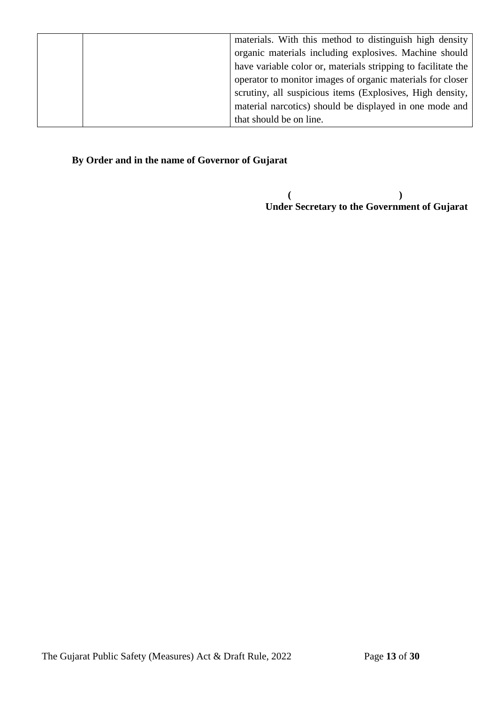|  | materials. With this method to distinguish high density       |
|--|---------------------------------------------------------------|
|  | organic materials including explosives. Machine should        |
|  | have variable color or, materials stripping to facilitate the |
|  | operator to monitor images of organic materials for closer    |
|  | scrutiny, all suspicious items (Explosives, High density,     |
|  | material narcotics) should be displayed in one mode and       |
|  | that should be on line.                                       |

### **By Order and in the name of Governor of Gujarat**

**( ) Under Secretary to the Government of Gujarat**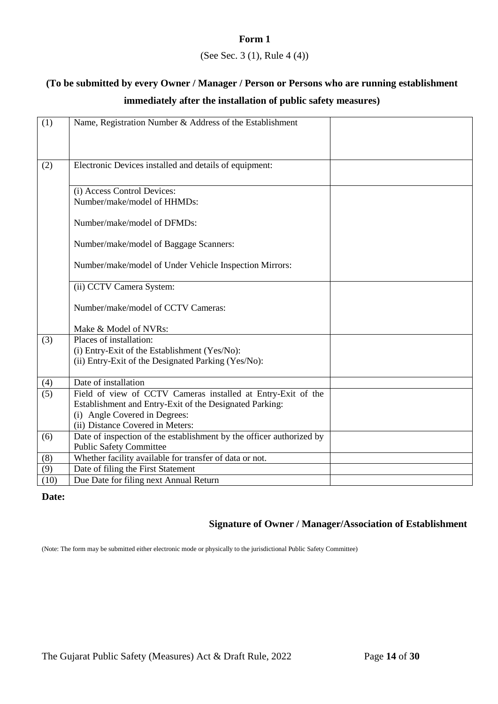### **Form 1**

### (See Sec. 3 (1), Rule 4 (4))

### **(To be submitted by every Owner / Manager / Person or Persons who are running establishment immediately after the installation of public safety measures)**

| Electronic Devices installed and details of equipment:<br>(2)<br>(i) Access Control Devices:<br>Number/make/model of HHMDs:<br>Number/make/model of DFMDs:<br>Number/make/model of Baggage Scanners:<br>Number/make/model of Under Vehicle Inspection Mirrors:<br>(ii) CCTV Camera System:<br>Number/make/model of CCTV Cameras:<br>Make & Model of NVRs:<br>Places of installation:<br>(3)<br>(i) Entry-Exit of the Establishment (Yes/No):<br>(ii) Entry-Exit of the Designated Parking (Yes/No):<br>Date of installation<br>(4)<br>(5)<br>Field of view of CCTV Cameras installed at Entry-Exit of the<br>Establishment and Entry-Exit of the Designated Parking:<br>(i) Angle Covered in Degrees:<br>(ii) Distance Covered in Meters:<br>Date of inspection of the establishment by the officer authorized by<br>(6)<br><b>Public Safety Committee</b><br>Whether facility available for transfer of data or not.<br>(8)<br>Date of filing the First Statement<br>(9)<br>(10) |     |                                                          |  |
|-----------------------------------------------------------------------------------------------------------------------------------------------------------------------------------------------------------------------------------------------------------------------------------------------------------------------------------------------------------------------------------------------------------------------------------------------------------------------------------------------------------------------------------------------------------------------------------------------------------------------------------------------------------------------------------------------------------------------------------------------------------------------------------------------------------------------------------------------------------------------------------------------------------------------------------------------------------------------------------|-----|----------------------------------------------------------|--|
|                                                                                                                                                                                                                                                                                                                                                                                                                                                                                                                                                                                                                                                                                                                                                                                                                                                                                                                                                                                   | (1) | Name, Registration Number & Address of the Establishment |  |
|                                                                                                                                                                                                                                                                                                                                                                                                                                                                                                                                                                                                                                                                                                                                                                                                                                                                                                                                                                                   |     |                                                          |  |
|                                                                                                                                                                                                                                                                                                                                                                                                                                                                                                                                                                                                                                                                                                                                                                                                                                                                                                                                                                                   |     |                                                          |  |
|                                                                                                                                                                                                                                                                                                                                                                                                                                                                                                                                                                                                                                                                                                                                                                                                                                                                                                                                                                                   |     |                                                          |  |
|                                                                                                                                                                                                                                                                                                                                                                                                                                                                                                                                                                                                                                                                                                                                                                                                                                                                                                                                                                                   |     |                                                          |  |
|                                                                                                                                                                                                                                                                                                                                                                                                                                                                                                                                                                                                                                                                                                                                                                                                                                                                                                                                                                                   |     |                                                          |  |
|                                                                                                                                                                                                                                                                                                                                                                                                                                                                                                                                                                                                                                                                                                                                                                                                                                                                                                                                                                                   |     |                                                          |  |
|                                                                                                                                                                                                                                                                                                                                                                                                                                                                                                                                                                                                                                                                                                                                                                                                                                                                                                                                                                                   |     |                                                          |  |
|                                                                                                                                                                                                                                                                                                                                                                                                                                                                                                                                                                                                                                                                                                                                                                                                                                                                                                                                                                                   |     |                                                          |  |
|                                                                                                                                                                                                                                                                                                                                                                                                                                                                                                                                                                                                                                                                                                                                                                                                                                                                                                                                                                                   |     |                                                          |  |
|                                                                                                                                                                                                                                                                                                                                                                                                                                                                                                                                                                                                                                                                                                                                                                                                                                                                                                                                                                                   |     |                                                          |  |
|                                                                                                                                                                                                                                                                                                                                                                                                                                                                                                                                                                                                                                                                                                                                                                                                                                                                                                                                                                                   |     |                                                          |  |
|                                                                                                                                                                                                                                                                                                                                                                                                                                                                                                                                                                                                                                                                                                                                                                                                                                                                                                                                                                                   |     |                                                          |  |
|                                                                                                                                                                                                                                                                                                                                                                                                                                                                                                                                                                                                                                                                                                                                                                                                                                                                                                                                                                                   |     |                                                          |  |
|                                                                                                                                                                                                                                                                                                                                                                                                                                                                                                                                                                                                                                                                                                                                                                                                                                                                                                                                                                                   |     |                                                          |  |
|                                                                                                                                                                                                                                                                                                                                                                                                                                                                                                                                                                                                                                                                                                                                                                                                                                                                                                                                                                                   |     |                                                          |  |
|                                                                                                                                                                                                                                                                                                                                                                                                                                                                                                                                                                                                                                                                                                                                                                                                                                                                                                                                                                                   |     |                                                          |  |
|                                                                                                                                                                                                                                                                                                                                                                                                                                                                                                                                                                                                                                                                                                                                                                                                                                                                                                                                                                                   |     |                                                          |  |
|                                                                                                                                                                                                                                                                                                                                                                                                                                                                                                                                                                                                                                                                                                                                                                                                                                                                                                                                                                                   |     |                                                          |  |
|                                                                                                                                                                                                                                                                                                                                                                                                                                                                                                                                                                                                                                                                                                                                                                                                                                                                                                                                                                                   |     |                                                          |  |
|                                                                                                                                                                                                                                                                                                                                                                                                                                                                                                                                                                                                                                                                                                                                                                                                                                                                                                                                                                                   |     |                                                          |  |
|                                                                                                                                                                                                                                                                                                                                                                                                                                                                                                                                                                                                                                                                                                                                                                                                                                                                                                                                                                                   |     |                                                          |  |
|                                                                                                                                                                                                                                                                                                                                                                                                                                                                                                                                                                                                                                                                                                                                                                                                                                                                                                                                                                                   |     |                                                          |  |
|                                                                                                                                                                                                                                                                                                                                                                                                                                                                                                                                                                                                                                                                                                                                                                                                                                                                                                                                                                                   |     |                                                          |  |
|                                                                                                                                                                                                                                                                                                                                                                                                                                                                                                                                                                                                                                                                                                                                                                                                                                                                                                                                                                                   |     |                                                          |  |
|                                                                                                                                                                                                                                                                                                                                                                                                                                                                                                                                                                                                                                                                                                                                                                                                                                                                                                                                                                                   |     |                                                          |  |
|                                                                                                                                                                                                                                                                                                                                                                                                                                                                                                                                                                                                                                                                                                                                                                                                                                                                                                                                                                                   |     |                                                          |  |
|                                                                                                                                                                                                                                                                                                                                                                                                                                                                                                                                                                                                                                                                                                                                                                                                                                                                                                                                                                                   |     |                                                          |  |
|                                                                                                                                                                                                                                                                                                                                                                                                                                                                                                                                                                                                                                                                                                                                                                                                                                                                                                                                                                                   |     |                                                          |  |
|                                                                                                                                                                                                                                                                                                                                                                                                                                                                                                                                                                                                                                                                                                                                                                                                                                                                                                                                                                                   |     |                                                          |  |
|                                                                                                                                                                                                                                                                                                                                                                                                                                                                                                                                                                                                                                                                                                                                                                                                                                                                                                                                                                                   |     |                                                          |  |
|                                                                                                                                                                                                                                                                                                                                                                                                                                                                                                                                                                                                                                                                                                                                                                                                                                                                                                                                                                                   |     |                                                          |  |
|                                                                                                                                                                                                                                                                                                                                                                                                                                                                                                                                                                                                                                                                                                                                                                                                                                                                                                                                                                                   |     |                                                          |  |
|                                                                                                                                                                                                                                                                                                                                                                                                                                                                                                                                                                                                                                                                                                                                                                                                                                                                                                                                                                                   |     | Due Date for filing next Annual Return                   |  |

### **Date:**

### **Signature of Owner / Manager/Association of Establishment**

(Note: The form may be submitted either electronic mode or physically to the jurisdictional Public Safety Committee)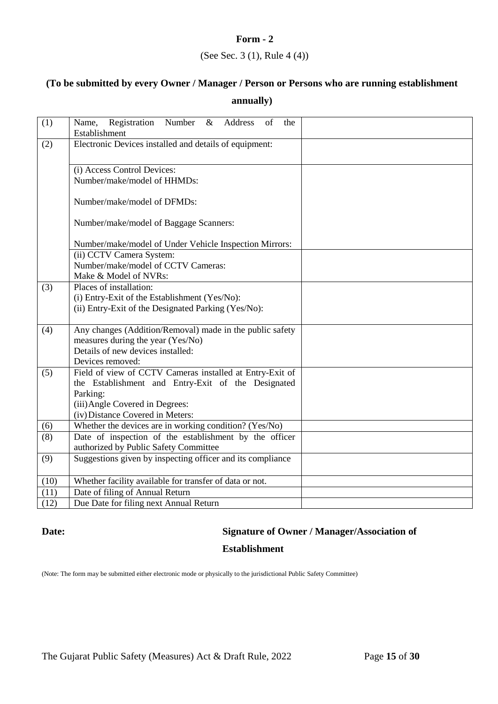### (See Sec. 3 (1), Rule 4 (4))

## **(To be submitted by every Owner / Manager / Person or Persons who are running establishment annually)**

| (1)  | Name, Registration Number & Address<br>of<br>the<br>Establishment |  |
|------|-------------------------------------------------------------------|--|
| (2)  | Electronic Devices installed and details of equipment:            |  |
|      |                                                                   |  |
|      | (i) Access Control Devices:                                       |  |
|      | Number/make/model of HHMDs:                                       |  |
|      | Number/make/model of DFMDs:                                       |  |
|      | Number/make/model of Baggage Scanners:                            |  |
|      | Number/make/model of Under Vehicle Inspection Mirrors:            |  |
|      | (ii) CCTV Camera System:                                          |  |
|      | Number/make/model of CCTV Cameras:                                |  |
|      | Make & Model of NVRs:                                             |  |
| (3)  | Places of installation:                                           |  |
|      | (i) Entry-Exit of the Establishment (Yes/No):                     |  |
|      | (ii) Entry-Exit of the Designated Parking (Yes/No):               |  |
|      |                                                                   |  |
| (4)  | Any changes (Addition/Removal) made in the public safety          |  |
|      | measures during the year (Yes/No)                                 |  |
|      | Details of new devices installed:                                 |  |
|      | Devices removed:                                                  |  |
| (5)  | Field of view of CCTV Cameras installed at Entry-Exit of          |  |
|      | the Establishment and Entry-Exit of the Designated                |  |
|      | Parking:                                                          |  |
|      | (iii) Angle Covered in Degrees:                                   |  |
|      | (iv) Distance Covered in Meters:                                  |  |
| (6)  | Whether the devices are in working condition? (Yes/No)            |  |
| (8)  | Date of inspection of the establishment by the officer            |  |
|      | authorized by Public Safety Committee                             |  |
| (9)  | Suggestions given by inspecting officer and its compliance        |  |
|      |                                                                   |  |
| (10) | Whether facility available for transfer of data or not.           |  |
| (11) | Date of filing of Annual Return                                   |  |
| (12) | Due Date for filing next Annual Return                            |  |

### **Date: Signature of Owner / Manager/Association of**

### **Establishment**

(Note: The form may be submitted either electronic mode or physically to the jurisdictional Public Safety Committee)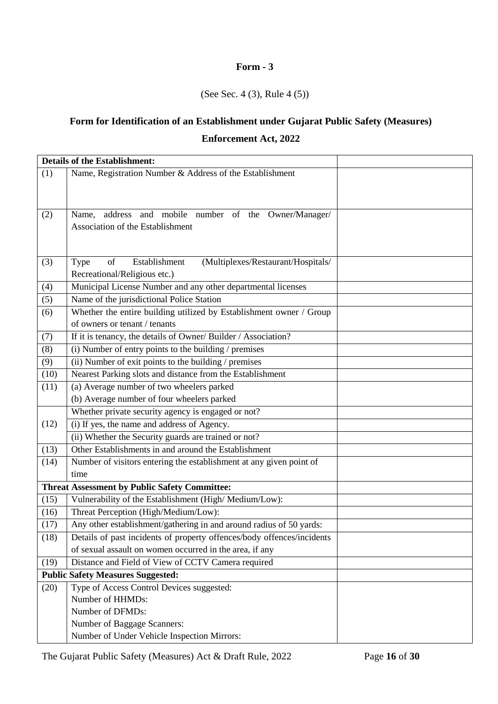### (See Sec. 4 (3), Rule 4 (5))

## **Form for Identification of an Establishment under Gujarat Public Safety (Measures) Enforcement Act, 2022**

|      | <b>Details of the Establishment:</b>                                                              |  |
|------|---------------------------------------------------------------------------------------------------|--|
| (1)  | Name, Registration Number & Address of the Establishment                                          |  |
|      |                                                                                                   |  |
|      |                                                                                                   |  |
| (2)  | address and mobile number of the Owner/Manager/<br>Name,                                          |  |
|      | Association of the Establishment                                                                  |  |
|      |                                                                                                   |  |
|      |                                                                                                   |  |
| (3)  | Establishment<br>of<br>(Multiplexes/Restaurant/Hospitals/<br>Type<br>Recreational/Religious etc.) |  |
| (4)  | Municipal License Number and any other departmental licenses                                      |  |
| (5)  | Name of the jurisdictional Police Station                                                         |  |
| (6)  | Whether the entire building utilized by Establishment owner / Group                               |  |
|      | of owners or tenant / tenants                                                                     |  |
| (7)  | If it is tenancy, the details of Owner/ Builder / Association?                                    |  |
| (8)  | $(i)$ Number of entry points to the building / premises                                           |  |
| (9)  | (ii) Number of exit points to the building / premises                                             |  |
| (10) | Nearest Parking slots and distance from the Establishment                                         |  |
| (11) | (a) Average number of two wheelers parked                                                         |  |
|      | (b) Average number of four wheelers parked                                                        |  |
|      | Whether private security agency is engaged or not?                                                |  |
| (12) | (i) If yes, the name and address of Agency.                                                       |  |
|      | (ii) Whether the Security guards are trained or not?                                              |  |
| (13) | Other Establishments in and around the Establishment                                              |  |
| (14) | Number of visitors entering the establishment at any given point of                               |  |
|      | time                                                                                              |  |
|      | <b>Threat Assessment by Public Safety Committee:</b>                                              |  |
| (15) | Vulnerability of the Establishment (High/Medium/Low):                                             |  |
| (16) | Threat Perception (High/Medium/Low):                                                              |  |
| (17) | Any other establishment/gathering in and around radius of 50 yards:                               |  |
| (18) | Details of past incidents of property offences/body offences/incidents                            |  |
|      | of sexual assault on women occurred in the area, if any                                           |  |
| (19) | Distance and Field of View of CCTV Camera required                                                |  |
|      | <b>Public Safety Measures Suggested:</b>                                                          |  |
| (20) | Type of Access Control Devices suggested:                                                         |  |
|      | Number of HHMDs:<br>Number of DFMDs:                                                              |  |
|      | Number of Baggage Scanners:                                                                       |  |
|      | Number of Under Vehicle Inspection Mirrors:                                                       |  |
|      |                                                                                                   |  |

The Gujarat Public Safety (Measures) Act & Draft Rule, 2022 Page **16** of **30**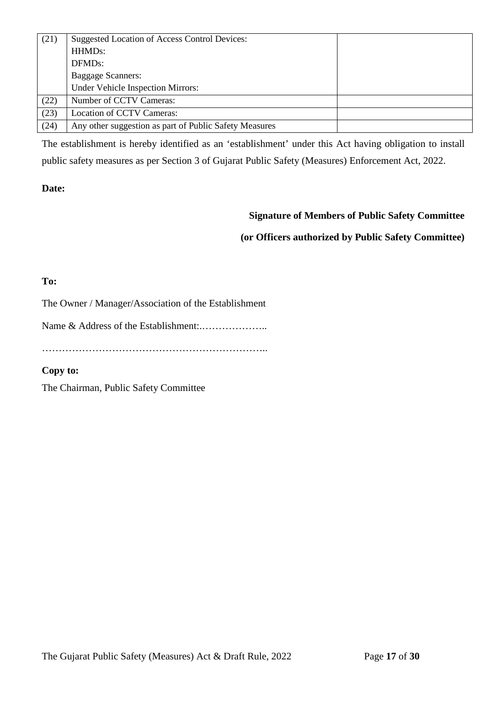| (21) | Suggested Location of Access Control Devices:          |  |
|------|--------------------------------------------------------|--|
|      | HHMD <sub>s</sub> :                                    |  |
|      | DFMD <sub>s</sub> :                                    |  |
|      | <b>Baggage Scanners:</b>                               |  |
|      | Under Vehicle Inspection Mirrors:                      |  |
| (22) | Number of CCTV Cameras:                                |  |
| (23) | Location of CCTV Cameras:                              |  |
| (24) | Any other suggestion as part of Public Safety Measures |  |

The establishment is hereby identified as an 'establishment' under this Act having obligation to install public safety measures as per Section 3 of Gujarat Public Safety (Measures) Enforcement Act, 2022.

### **Date:**

### **Signature of Members of Public Safety Committee**

### **(or Officers authorized by Public Safety Committee)**

### **To:**

The Owner / Manager/Association of the Establishment

Name & Address of the Establishment:.………………..

…………………………………………………………..

### **Copy to:**

The Chairman, Public Safety Committee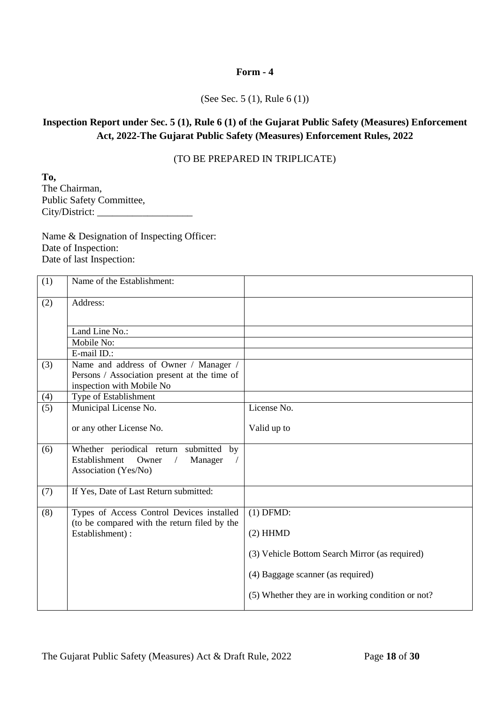#### (See Sec. 5 (1), Rule 6 (1))

### **Inspection Report under Sec. 5 (1), Rule 6 (1) of** t**he Gujarat Public Safety (Measures) Enforcement Act, 2022-The Gujarat Public Safety (Measures) Enforcement Rules, 2022**

### (TO BE PREPARED IN TRIPLICATE)

**To,** The Chairman, Public Safety Committee, City/District: \_\_\_\_\_\_\_\_\_\_\_\_\_\_\_\_\_\_\_

Name & Designation of Inspecting Officer: Date of Inspection: Date of last Inspection:

| (1) | Name of the Establishment:                                                                                                      |                                                   |
|-----|---------------------------------------------------------------------------------------------------------------------------------|---------------------------------------------------|
| (2) | Address:                                                                                                                        |                                                   |
|     | Land Line No.:                                                                                                                  |                                                   |
|     | Mobile No:                                                                                                                      |                                                   |
|     | E-mail ID.:                                                                                                                     |                                                   |
| (3) | Name and address of Owner / Manager /<br>Persons / Association present at the time of<br>inspection with Mobile No              |                                                   |
| (4) | Type of Establishment                                                                                                           |                                                   |
| (5) | Municipal License No.                                                                                                           | License No.                                       |
|     | or any other License No.                                                                                                        | Valid up to                                       |
| (6) | Whether periodical return submitted by<br>Establishment<br>Owner<br>Manager<br>$\sqrt{2}$<br>$\sqrt{2}$<br>Association (Yes/No) |                                                   |
| (7) | If Yes, Date of Last Return submitted:                                                                                          |                                                   |
| (8) | Types of Access Control Devices installed<br>(to be compared with the return filed by the                                       | $(1)$ DFMD:                                       |
|     | Establishment):                                                                                                                 | $(2)$ HHMD                                        |
|     |                                                                                                                                 | (3) Vehicle Bottom Search Mirror (as required)    |
|     |                                                                                                                                 | (4) Baggage scanner (as required)                 |
|     |                                                                                                                                 | (5) Whether they are in working condition or not? |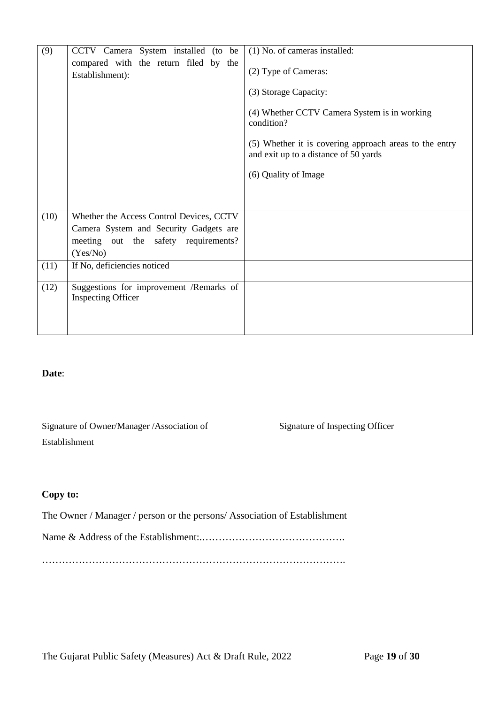| (9)  | CCTV Camera System installed (to be                                                                                                    | (1) No. of cameras installed:                                                                                                                                                                                                          |
|------|----------------------------------------------------------------------------------------------------------------------------------------|----------------------------------------------------------------------------------------------------------------------------------------------------------------------------------------------------------------------------------------|
|      | compared with the return filed by the<br>Establishment):                                                                               | (2) Type of Cameras:<br>(3) Storage Capacity:<br>(4) Whether CCTV Camera System is in working<br>condition?<br>(5) Whether it is covering approach areas to the entry<br>and exit up to a distance of 50 yards<br>(6) Quality of Image |
| (10) | Whether the Access Control Devices, CCTV<br>Camera System and Security Gadgets are<br>meeting out the safety requirements?<br>(Yes/No) |                                                                                                                                                                                                                                        |
| (11) | If No, deficiencies noticed                                                                                                            |                                                                                                                                                                                                                                        |
| (12) | Suggestions for improvement /Remarks of<br><b>Inspecting Officer</b>                                                                   |                                                                                                                                                                                                                                        |

### **Date**:

Signature of Owner/Manager /Association of Establishment

Signature of Inspecting Officer

### **Copy to:**

The Owner / Manager / person or the persons/ Association of Establishment

Name & Address of the Establishment:.…………………………………….

……………………………………………………………………………….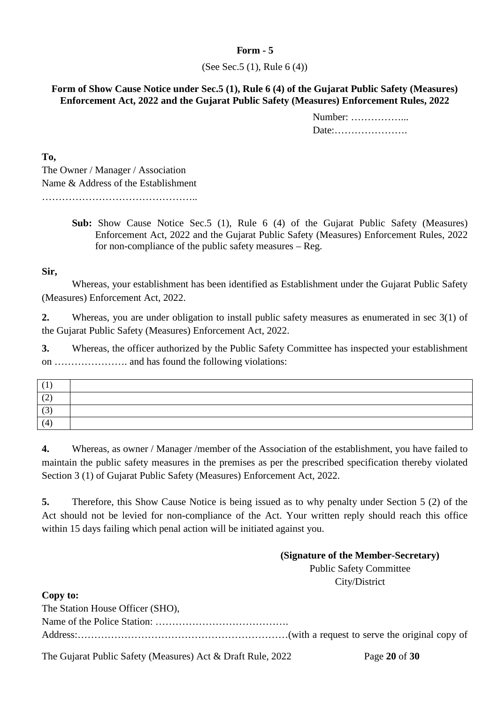### (See Sec.5 (1), Rule 6 (4))

### **Form of Show Cause Notice under Sec.5 (1), Rule 6 (4) of the Gujarat Public Safety (Measures) Enforcement Act, 2022 and the Gujarat Public Safety (Measures) Enforcement Rules, 2022**

Number: ……………... Date:………………….

**To,** 

The Owner / Manager / Association Name & Address of the Establishment

………………………………………..

**Sub:** Show Cause Notice Sec.5 (1), Rule 6 (4) of the Gujarat Public Safety (Measures) Enforcement Act, 2022 and the Gujarat Public Safety (Measures) Enforcement Rules, 2022 for non-compliance of the public safety measures – Reg.

### **Sir,**

Whereas, your establishment has been identified as Establishment under the Gujarat Public Safety (Measures) Enforcement Act, 2022.

**2.** Whereas, you are under obligation to install public safety measures as enumerated in sec 3(1) of the Gujarat Public Safety (Measures) Enforcement Act, 2022.

**3.** Whereas, the officer authorized by the Public Safety Committee has inspected your establishment on …………………. and has found the following violations:

| . <u>. .</u> |  |
|--------------|--|
|              |  |
|              |  |

**4.** Whereas, as owner / Manager /member of the Association of the establishment, you have failed to maintain the public safety measures in the premises as per the prescribed specification thereby violated Section 3 (1) of Gujarat Public Safety (Measures) Enforcement Act, 2022.

**5.** Therefore, this Show Cause Notice is being issued as to why penalty under Section 5 (2) of the Act should not be levied for non-compliance of the Act. Your written reply should reach this office within 15 days failing which penal action will be initiated against you.

### **(Signature of the Member-Secretary)** Public Safety Committee

City/District

**Copy to:**

| The Station House Officer (SHO), |  |
|----------------------------------|--|
|                                  |  |
|                                  |  |

The Gujarat Public Safety (Measures) Act & Draft Rule, 2022 Page **20** of **30**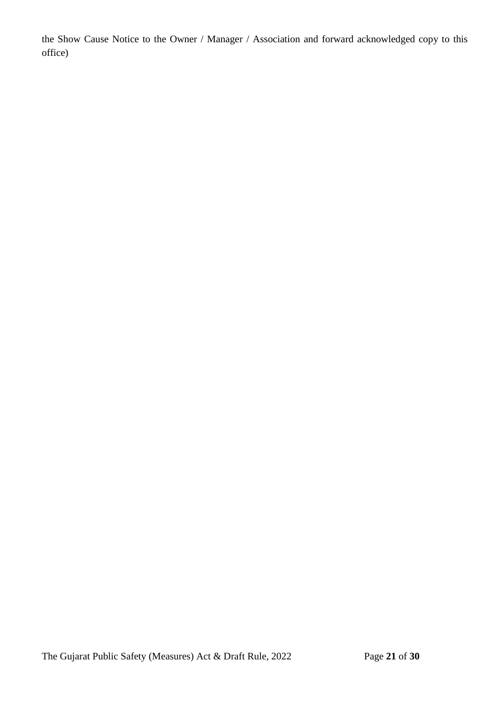the Show Cause Notice to the Owner / Manager / Association and forward acknowledged copy to this office)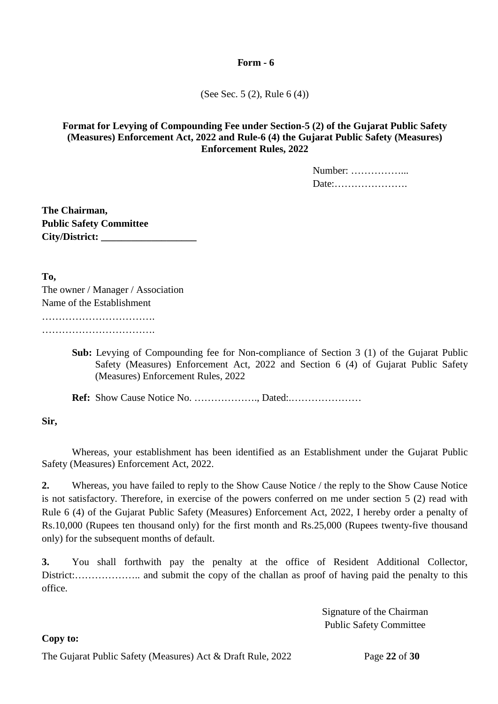(See Sec. 5 (2), Rule 6 (4))

### **Format for Levying of Compounding Fee under Section-5 (2) of the Gujarat Public Safety (Measures) Enforcement Act, 2022 and Rule-6 (4) the Gujarat Public Safety (Measures) Enforcement Rules, 2022**

Number: ……………... Date:………………….

**The Chairman, Public Safety Committee City/District: \_\_\_\_\_\_\_\_\_\_\_\_\_\_\_\_\_\_\_**

**To,** 

The owner / Manager / Association Name of the Establishment ……………………………. ……………………………………

> **Sub:** Levying of Compounding fee for Non-compliance of Section 3 (1) of the Gujarat Public Safety (Measures) Enforcement Act, 2022 and Section 6 (4) of Gujarat Public Safety (Measures) Enforcement Rules, 2022

**Ref:** Show Cause Notice No. ………………., Dated:.…………………

**Sir,**

Whereas, your establishment has been identified as an Establishment under the Gujarat Public Safety (Measures) Enforcement Act, 2022.

**2.** Whereas, you have failed to reply to the Show Cause Notice / the reply to the Show Cause Notice is not satisfactory. Therefore, in exercise of the powers conferred on me under section 5 (2) read with Rule 6 (4) of the Gujarat Public Safety (Measures) Enforcement Act, 2022, I hereby order a penalty of Rs.10,000 (Rupees ten thousand only) for the first month and Rs.25,000 (Rupees twenty-five thousand only) for the subsequent months of default.

**3.** You shall forthwith pay the penalty at the office of Resident Additional Collector, District:……………….. and submit the copy of the challan as proof of having paid the penalty to this office.

> Signature of the Chairman Public Safety Committee

### **Copy to:**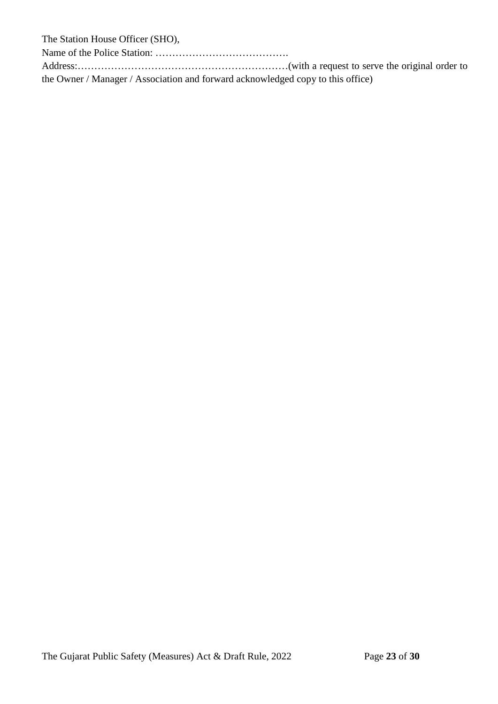The Station House Officer (SHO),

Name of the Police Station: ………………………………….

Address:………………………………………………………(with a request to serve the original order to the Owner / Manager / Association and forward acknowledged copy to this office)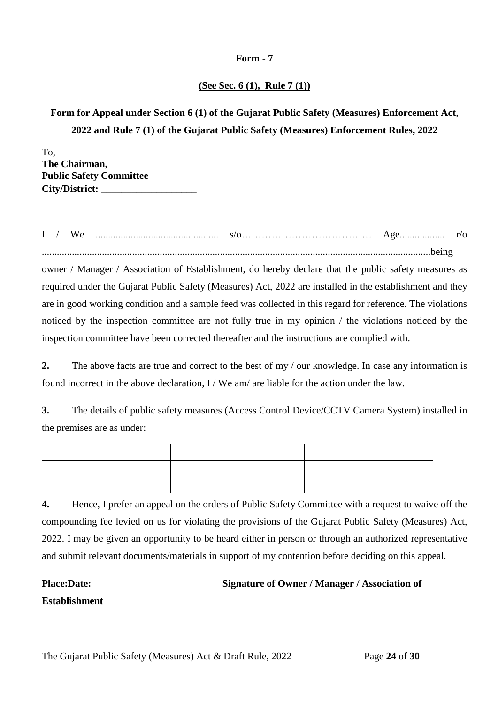### **(See Sec. 6 (1), Rule 7 (1))**

### **Form for Appeal under Section 6 (1) of the Gujarat Public Safety (Measures) Enforcement Act, 2022 and Rule 7 (1) of the Gujarat Public Safety (Measures) Enforcement Rules, 2022**

To, **The Chairman, Public Safety Committee City/District: \_\_\_\_\_\_\_\_\_\_\_\_\_\_\_\_\_\_\_**

I / We ................................................. s/o………………………………… Age.................. r/o ...........................................................................................................................................................being

owner / Manager / Association of Establishment, do hereby declare that the public safety measures as required under the Gujarat Public Safety (Measures) Act, 2022 are installed in the establishment and they are in good working condition and a sample feed was collected in this regard for reference. The violations noticed by the inspection committee are not fully true in my opinion / the violations noticed by the inspection committee have been corrected thereafter and the instructions are complied with.

**2.** The above facts are true and correct to the best of my / our knowledge. In case any information is found incorrect in the above declaration,  $I / We am / are liable for the action under the law.$ 

**3.** The details of public safety measures (Access Control Device/CCTV Camera System) installed in the premises are as under:

**4.** Hence, I prefer an appeal on the orders of Public Safety Committee with a request to waive off the compounding fee levied on us for violating the provisions of the Gujarat Public Safety (Measures) Act, 2022. I may be given an opportunity to be heard either in person or through an authorized representative and submit relevant documents/materials in support of my contention before deciding on this appeal.

### **Place:Date: Signature of Owner / Manager / Association of**

**Establishment**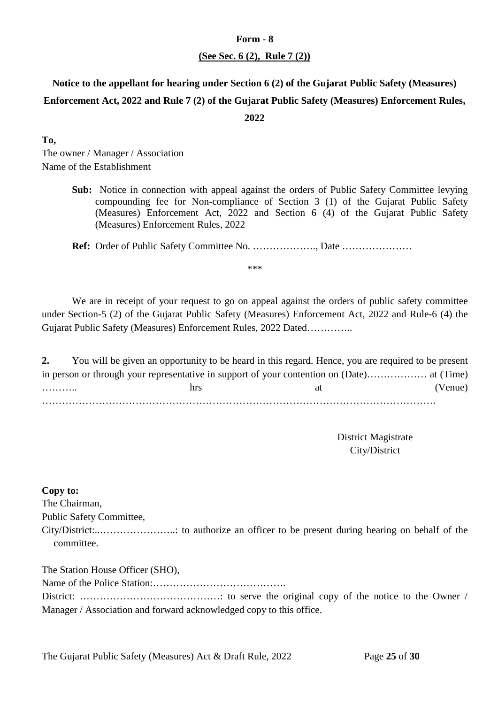#### **(See Sec. 6 (2), Rule 7 (2))**

### **Notice to the appellant for hearing under Section 6 (2) of the Gujarat Public Safety (Measures) Enforcement Act, 2022 and Rule 7 (2) of the Gujarat Public Safety (Measures) Enforcement Rules, 2022**

**To,** 

The owner / Manager / Association Name of the Establishment

> **Sub:** Notice in connection with appeal against the orders of Public Safety Committee levying compounding fee for Non-compliance of Section 3 (1) of the Gujarat Public Safety (Measures) Enforcement Act, 2022 and Section 6 (4) of the Gujarat Public Safety (Measures) Enforcement Rules, 2022

**Ref:** Order of Public Safety Committee No. ………………., Date …………………

\*\*\*

We are in receipt of your request to go on appeal against the orders of public safety committee under Section-5 (2) of the Gujarat Public Safety (Measures) Enforcement Act, 2022 and Rule-6 (4) the Gujarat Public Safety (Measures) Enforcement Rules, 2022 Dated…………..

**2.** You will be given an opportunity to be heard in this regard. Hence, you are required to be present in person or through your representative in support of your contention on (Date)……………… at (Time) ……….. hrs at (Venue) ……………………………………………………………………………………………………….

> District Magistrate City/District

**Copy to:**

The Chairman,

Public Safety Committee,

City/District:..…………………..: to authorize an officer to be present during hearing on behalf of the committee.

The Station House Officer (SHO),

Name of the Police Station:………………………………….

District: ……………………………………: to serve the original copy of the notice to the Owner / Manager / Association and forward acknowledged copy to this office.

The Gujarat Public Safety (Measures) Act & Draft Rule, 2022 Page **25** of **30**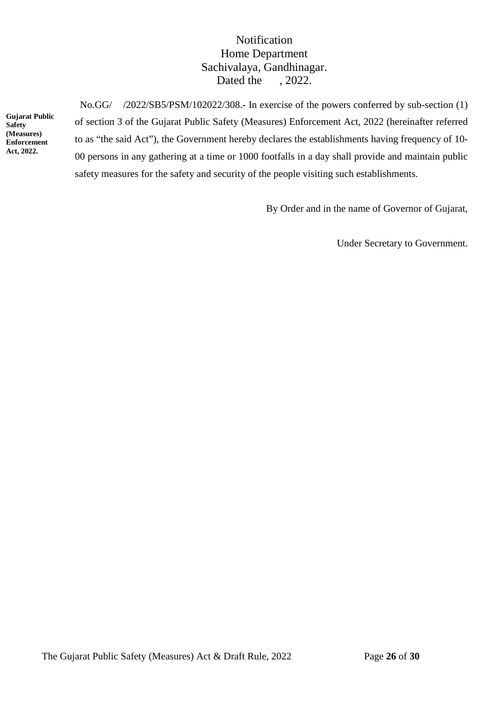### Notification Home Department Sachivalaya, Gandhinagar. Dated the , 2022.

**Gujarat Public Safety (Measures) Enforcement Act, 2022.**

 No.GG/ /2022/SB5/PSM/102022/308.- In exercise of the powers conferred by sub-section (1) of section 3 of the Gujarat Public Safety (Measures) Enforcement Act, 2022 (hereinafter referred to as "the said Act"), the Government hereby declares the establishments having frequency of 10- 00 persons in any gathering at a time or 1000 footfalls in a day shall provide and maintain public safety measures for the safety and security of the people visiting such establishments.

By Order and in the name of Governor of Gujarat,

Under Secretary to Government.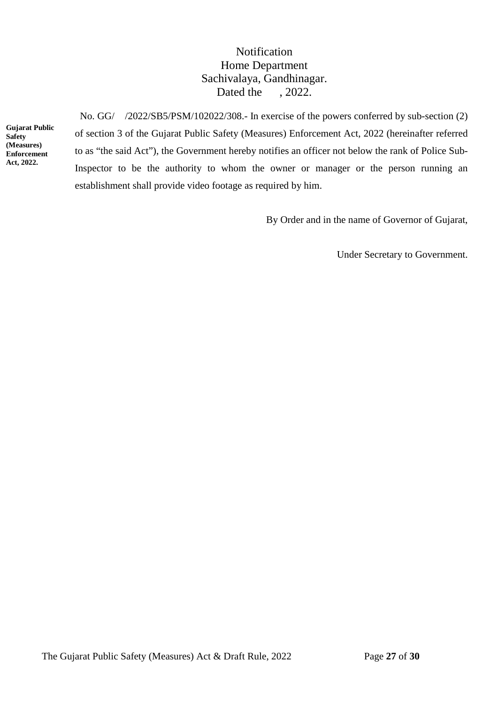### Notification Home Department Sachivalaya, Gandhinagar. Dated the , 2022.

**Gujarat Public Safety (Measures) Enforcement Act, 2022.**

 No. GG/ /2022/SB5/PSM/102022/308.- In exercise of the powers conferred by sub-section (2) of section 3 of the Gujarat Public Safety (Measures) Enforcement Act, 2022 (hereinafter referred to as "the said Act"), the Government hereby notifies an officer not below the rank of Police Sub-Inspector to be the authority to whom the owner or manager or the person running an establishment shall provide video footage as required by him.

By Order and in the name of Governor of Gujarat,

Under Secretary to Government.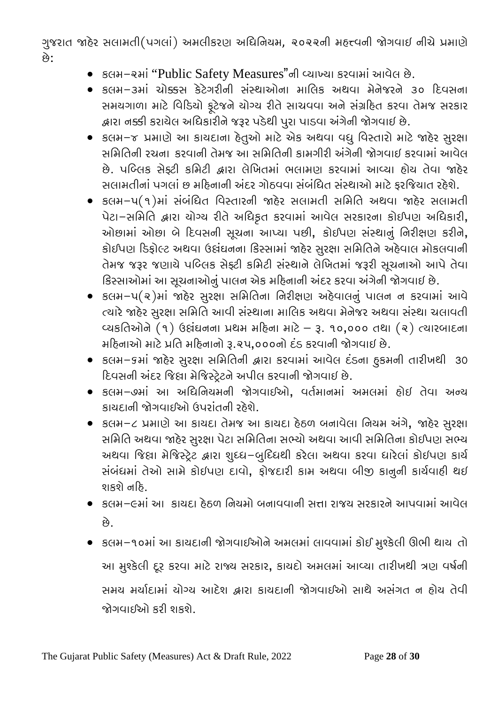ગુજરાત જાહેર સલામતી(પગલાં) અમલીકરણ અધિનિયમ, ૨૦૨૨ની મહત્ત્વની જોગવાઇ નીચે પ્રમાણે છે:

- કલમ-રમાં "Public Safety Measures"ની વ્યાખ્યા કરવામાં આવેલ છે.
- કલમ-૩માં ચો�સ કેટેગરીની સંસ્થાઓના માિલક અથવા મેનેજરને ૩૦ �દવસના સમયગાળા માટે વિડિયો ફૂટેજને યોગ્ય રીતે સાચવવા અને સંગ્રહિત કરવા તેમજ સરકાર �ારા ન�ી કરાયેલ અિધકારીનેજરૂર પડેથી પુરા પાડવા અંગેની �ગવાઇ છે.
- કલમ-જ પ્રમાણે આ કાયદાના હેતુઓ માટે એક અથવા વધુ વિસ્તારો માટે જાહેર સુરક્ષા સિમિતની રચના કરવાની તેમજ આ સિમિતની કામગીરી અંગેની �ગવાઇ કરવામાંઆવેલ છે. પબ્લિક સેફ્ટી કમિટી દ્વારા લેખિતમાં ભલામણ કરવામાં આવ્યા હોય તેવા જાહેર સલામતીનાં પગલાં છ મહિનાની અંદર ગોઠવવા સંબંધિત સંસ્થાઓ માટે ફરજિયાત રહેશે.
- કલમ-૫(૧)માં સંબંિધત િવસ્તારની �હેર સલામતી સિમિત અથવા �હેર સલામતી પેટા-સિમિત �ારા યોગ્ય રીતેઅિધકૃત કરવામાં આવેલ સરકારના કોઈપણ અિધકારી**,**  ઓછામાં ઓછા બે�દવસની સૂચના આપ્યા પછી**,** કોઈપણ સંસ્થાનું િનરીક્ષણ કરીને**,**  કોઈપણ �ડફોલ્ટ અથવા ઉ�ંઘનના િકસ્સામાં �હેર સુરક્ષા સિમિતનેઅહેવાલ મોકલવાની તેમજ જરૂર જણાયેપિબ્લક સેફ્ટી કિમટી સંસ્થાનેલેિખતમાં જરૂરી સૂચનાઓ આપેતેવા િકસ્સાઓમાંઆ સૂચનાઓનુંપાલન એક મ�હનાની અંદર કરવા અંગેની �ગવાઇ છે.
- કલમ-૫(૨)માં �હેર સુરક્ષા સિમિતના િનરીક્ષણ અહેવાલનું પાલન ન કરવામાં આવે ત્યારે જાહેર સુરક્ષા સમિતિ આવી સંસ્થાના માલિક અથવા મેનેજર અથવા સંસ્થા ચલાવતી વ્યકિતઓને(૧) ઉ�ંઘનના �થમ મ�હના માટે– રૂ. ૧૦**,**૦૦૦ તથા (૨) ત્યારબાદના મ�હનાઓ માટે�િત મ�હનાનો રૂ.૨૫**,**૦૦૦નો દંડ કરવાની �ગવાઇ છે.
- કલમ-૬માં �હેર સુરક્ષા સિમિતની �ારા કરવામાં આવેલ દંડના હુકમની તારીખથી 30 �દવસની અંદર િજ�ા મેિજસ્ટેર્ટનેઅપીલ કરવાની �ગવાઇ છે.
- કલમ-૭માં આ અિધિનયમની �ગવાઈઓ**,** વતર્માનમાં અમલમાં હોઇ તેવા અન્ય કાયદાની �ગવાઈઓ ઉપરાંતની રહેશે.
- કલમ-૮ �માણેઆ કાયદા તેમજ આ કાયદા હેઠળ બનાવેલા િનયમ અંગે**,** �હેર સુરક્ષા સિમિત અથવા �હેર સુરક્ષા પેટા સિમિતના સભ્યો અથવા આવી સિમિતના કોઈપણ સભ્ય અથવા જિલ્ના મેજિસ્ટ્રેટ દ્વારા શુધ્ધ-બુદિધથી કરેલા અથવા કરવા ધારેલાં કોઇપણ કાર્ય સંબંધમાં તેઓ સામેકોઇપણ દાવો**,** ફોજદારી કામ અથવા બી� કાનુની કાયર્વાહી થઇ શકશે નહિ.
- કલમ–૯માં આ કાયદા ઠેઠળ નિયમો બનાવવાની સત્તા રાજય સરકારને આપવામાં આવેલ છે.
- કલમ-૧૦માંઆ કાયદાની �ગવાઈઓનેઅમલમાં લાવવામાં કોઈ મુશ્કેલી ઊભી થાય તો આ મુશ્કેલી દૂર કરવા માટેરાજ્ય સરકાર**,** કાયદો અમલમાં આવ્યા તારીખથી ત્રણ વષર્ની સમય મર્યાદામાં યોગ્ય આદેશ દ્વારા કાયદાની જોગવાઈઓ સાથે અસંગત ન હોય તેવી �ગવાઈઓ કરી શકશે.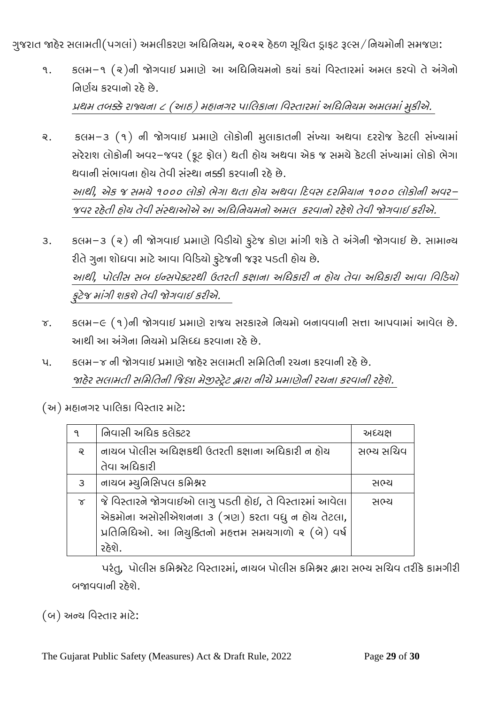ગુજરાત જાહેર સલામતી(પગલાં) અમલીકરણ અધિનિયમ, ૨૦૨૨ હેઠળ સૂચિત ડ્રાફટ રૂલ્સ/નિયમોની સમજણ:

૧. કલમ-૧ (૨)ની જોગવાઈ પ્રમાણે આ અધિનિયમનો કયાં કયાં વિસ્તારમાં અમલ કરવો તે અંગેનો નિર્ણય કરવાનો રહે છે. �થમ તબ�ેરાજ્યના <sup>૮</sup> (આઠ) મહાનગર પાિલકાના િવસ્તારમાંઅિધિનયમ અમલમાંમુકીએ.

૨. કલમ-૩ (૧) ની �ગવાઇ �માણેલોકોની મુલાકાતની સંખ્યા અથવા દરરોજ કેટલી સંખ્યામાં સરેરાશ લોકોની અવર-જવર (ફૂટ ફોલ) થતી હોય અથવા એક જ સમયેકેટલી સંખ્યામાં લોકો ભેગા થવાની સંભાવના હોય તેવી સંસ્થા નક્કી કરવાની રહે છે. આથી*,* એક <sup>જ</sup> સમયે૧૦૦૦ લોકો ભેગા થતા હોય અથવા �દવસ દરિમયાન <sup>૧૦૦૦</sup> લોકોની અવર-જવર રહેતી હોય તેવી સંસ્થાઓએ <sup>આ</sup> અિધિનયમનો અમલ કરવાનો રહેશેતેવી �ગવાઇ કરીએ.

- ૩. કલમ-૩ (૨) ની જોગવાઈ પ્રમાણે વિડીયો ફુટેજ કોણ માંગી શકે તે અંગેની જોગવાઈ છે. સામાન્ય રીતે ગુના શોધવા માટે આવા વિડિયો ફૂટેજની જરૂર પડતી હોય છે. આથી*,* પોલીસ સબ ઇન્સપેક્ટરથી ઉતરતી કક્ષાના અિધકારી <sup>ન</sup> હોય તેવા અિધકારી આવા િવ�ડયો ફુટેજ માંગી શકશેતેવી �ગવાઇ કરીએ.
- ૪. કલમ-૯ (૧)ની જોગવાઈ પ્રમાણે રાજય સરકારને નિયમો બનાવવાની સત્તા આપવામાં આવેલ છે. આથી આ અંગેના નિયમો પ્રસિધ્ધ કરવાના રહે છે.
- ૫. કલમ–૪ ની જોગવાઈ પ્રમાણે જાહેર સલામતી સમિતિની રચના કરવાની રહે છે. જાહેર સલામતી સમિતિની જિલ્રા મેજીસ્ટ્રેટ દ્વારા નીચે પ્રમાણેની રચના કરવાની રહેશે.

(અ) મહાનગર પાિલકા િવસ્તાર માટે:

| ٩        | નિવાસી અધિક કલેક્ટર                                     | અધ્યક્ષ   |
|----------|---------------------------------------------------------|-----------|
| ବ୍       | નાયબ પોલીસ અધિક્ષકથી ઉતરતી કક્ષાના અધિકારી ન હોય        | સભ્ય સચિવ |
|          | તેવા અધિકારી                                            |           |
| 3        | નાયબ મ્યુનિસિપલ કમિશ્નર                                 | સભ્ય      |
| $\alpha$ | જે વિસ્તારને જોગવાઈઓ લાગુ પડતી હોઈ, તે વિસ્તારમાં આવેલા | સભ્ય      |
|          | એકમોના અસોસીએશનના ૩ (ત્રણ) કરતા વધુ ન હોય તેટલા,        |           |
|          | પ્રતિનિધિઓ. આ નિયુક્તિનો મહત્તમ સમયગાળો ૨ (બે) વર્ષ     |           |
|          | રહેશે.                                                  |           |

પરંતુ, પોલીસ કમિશ્નરેટ વિસ્તારમાં, નાયબ પોલીસ કમિશ્નર દ્વારા સભ્ય સચિવ તરીકે કામગીરી બ�વવાની રહેશે.

(બ) અન્ય િવસ્તાર માટે: